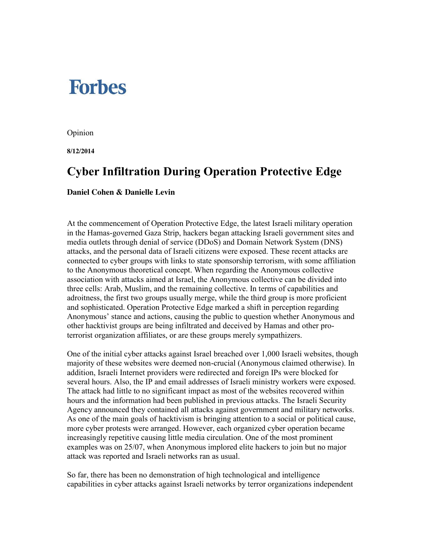## **Forbes**

Opinion

**8/12/2014** 

## **Cyber Infiltration During Operation Protective Edge**

## **Daniel Cohen & Danielle Levin**

At the commencement of Operation Protective Edge, the latest Israeli military operation in the Hamas-governed Gaza Strip, hackers began attacking Israeli government sites and media outlets through denial of service (DDoS) and Domain Network System (DNS) attacks, and the personal data of Israeli citizens were exposed. These recent attacks are connected to cyber groups with links to state sponsorship terrorism, with some affiliation to the Anonymous theoretical concept. When regarding the Anonymous collective association with attacks aimed at Israel, the Anonymous collective can be divided into three cells: Arab, Muslim, and the remaining collective. In terms of capabilities and adroitness, the first two groups usually merge, while the third group is more proficient and sophisticated. Operation Protective Edge marked a shift in perception regarding Anonymous' stance and actions, causing the public to question whether Anonymous and other hacktivist groups are being infiltrated and deceived by Hamas and other proterrorist organization affiliates, or are these groups merely sympathizers.

One of the initial cyber attacks against Israel breached over 1,000 Israeli websites, though majority of these websites were deemed non-crucial (Anonymous claimed otherwise). In addition, Israeli Internet providers were redirected and foreign IPs were blocked for several hours. Also, the IP and email addresses of Israeli ministry workers were exposed. The attack had little to no significant impact as most of the websites recovered within hours and the information had been published in previous attacks. The Israeli Security Agency announced they contained all attacks against government and military networks. As one of the main goals of hacktivism is bringing attention to a social or political cause, more cyber protests were arranged. However, each organized cyber operation became increasingly repetitive causing little media circulation. One of the most prominent examples was on 25/07, when Anonymous implored elite hackers to join but no major attack was reported and Israeli networks ran as usual.

So far, there has been no demonstration of high technological and intelligence capabilities in cyber attacks against Israeli networks by terror organizations independent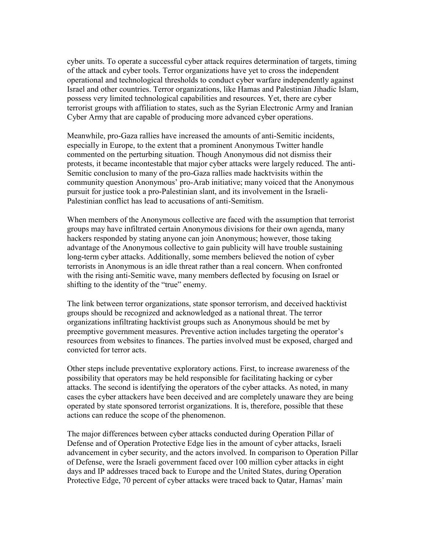cyber units. To operate a successful cyber attack requires determination of targets, timing of the attack and cyber tools. Terror organizations have yet to cross the independent operational and technological thresholds to conduct cyber warfare independently against Israel and other countries. Terror organizations, like Hamas and Palestinian Jihadic Islam, possess very limited technological capabilities and resources. Yet, there are cyber terrorist groups with affiliation to states, such as the Syrian Electronic Army and Iranian Cyber Army that are capable of producing more advanced cyber operations.

Meanwhile, pro-Gaza rallies have increased the amounts of anti-Semitic incidents, especially in Europe, to the extent that a prominent Anonymous Twitter handle commented on the perturbing situation. Though Anonymous did not dismiss their protests, it became incontestable that major cyber attacks were largely reduced. The anti-Semitic conclusion to many of the pro-Gaza rallies made hacktvisits within the community question Anonymous' pro-Arab initiative; many voiced that the Anonymous pursuit for justice took a pro-Palestinian slant, and its involvement in the Israeli-Palestinian conflict has lead to accusations of anti-Semitism.

When members of the Anonymous collective are faced with the assumption that terrorist groups may have infiltrated certain Anonymous divisions for their own agenda, many hackers responded by stating anyone can join Anonymous; however, those taking advantage of the Anonymous collective to gain publicity will have trouble sustaining long-term cyber attacks. Additionally, some members believed the notion of cyber terrorists in Anonymous is an idle threat rather than a real concern. When confronted with the rising anti-Semitic wave, many members deflected by focusing on Israel or shifting to the identity of the "true" enemy.

The link between terror organizations, state sponsor terrorism, and deceived hacktivist groups should be recognized and acknowledged as a national threat. The terror organizations infiltrating hacktivist groups such as Anonymous should be met by preemptive government measures. Preventive action includes targeting the operator's resources from websites to finances. The parties involved must be exposed, charged and convicted for terror acts.

Other steps include preventative exploratory actions. First, to increase awareness of the possibility that operators may be held responsible for facilitating hacking or cyber attacks. The second is identifying the operators of the cyber attacks. As noted, in many cases the cyber attackers have been deceived and are completely unaware they are being operated by state sponsored terrorist organizations. It is, therefore, possible that these actions can reduce the scope of the phenomenon.

The major differences between cyber attacks conducted during Operation Pillar of Defense and of Operation Protective Edge lies in the amount of cyber attacks, Israeli advancement in cyber security, and the actors involved. In comparison to Operation Pillar of Defense, were the Israeli government faced over 100 million cyber attacks in eight days and IP addresses traced back to Europe and the United States, during Operation Protective Edge, 70 percent of cyber attacks were traced back to Qatar, Hamas' main